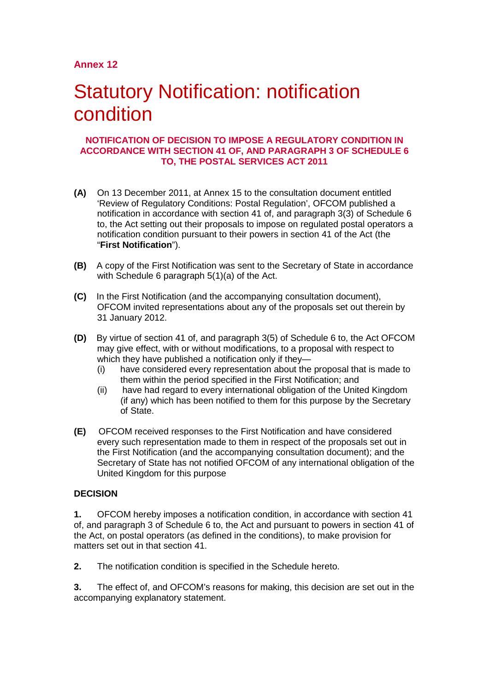# **Statutory Notification: notification** condition

#### **NOTIFICATION OF DECISION TO IMPOSE A REGULATORY CONDITION IN ACCORDANCE WITH SECTION 41 OF, AND PARAGRAPH 3 OF SCHEDULE 6 TO, THE POSTAL SERVICES ACT 2011**

- **(A)** On 13 December 2011, at Annex 15 to the consultation document entitled 'Review of Regulatory Conditions: Postal Regulation', OFCOM published a notification in accordance with section 41 of, and paragraph 3(3) of Schedule 6 to, the Act setting out their proposals to impose on regulated postal operators a notification condition pursuant to their powers in section 41 of the Act (the "**First Notification**").
- **(B)** A copy of the First Notification was sent to the Secretary of State in accordance with Schedule 6 paragraph 5(1)(a) of the Act.
- **(C)** In the First Notification (and the accompanying consultation document), OFCOM invited representations about any of the proposals set out therein by 31 January 2012.
- **(D)** By virtue of section 41 of, and paragraph 3(5) of Schedule 6 to, the Act OFCOM may give effect, with or without modifications, to a proposal with respect to which they have published a notification only if they—
	- (i) have considered every representation about the proposal that is made to them within the period specified in the First Notification; and
	- (ii) have had regard to every international obligation of the United Kingdom (if any) which has been notified to them for this purpose by the Secretary of State.
- **(E)** OFCOM received responses to the First Notification and have considered every such representation made to them in respect of the proposals set out in the First Notification (and the accompanying consultation document); and the Secretary of State has not notified OFCOM of any international obligation of the United Kingdom for this purpose

# **DECISION**

**1.** OFCOM hereby imposes a notification condition, in accordance with section 41 of, and paragraph 3 of Schedule 6 to, the Act and pursuant to powers in section 41 of the Act, on postal operators (as defined in the conditions), to make provision for matters set out in that section 41.

**2.** The notification condition is specified in the Schedule hereto.

**3.** The effect of, and OFCOM's reasons for making, this decision are set out in the accompanying explanatory statement.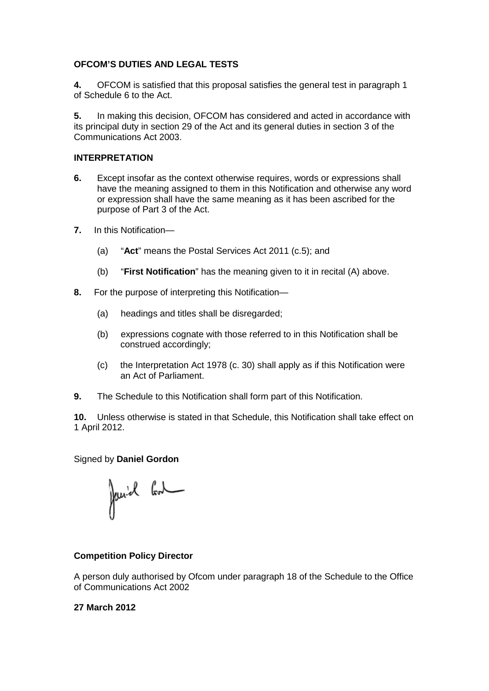#### **OFCOM'S DUTIES AND LEGAL TESTS**

**4.** OFCOM is satisfied that this proposal satisfies the general test in paragraph 1 of Schedule 6 to the Act.

**5.** In making this decision, OFCOM has considered and acted in accordance with its principal duty in section 29 of the Act and its general duties in section 3 of the Communications Act 2003.

#### **INTERPRETATION**

- **6.** Except insofar as the context otherwise requires, words or expressions shall have the meaning assigned to them in this Notification and otherwise any word or expression shall have the same meaning as it has been ascribed for the purpose of Part 3 of the Act.
- **7.** In this Notification—
	- (a) "**Act**" means the Postal Services Act 2011 (c.5); and
	- (b) "**First Notification**" has the meaning given to it in recital (A) above.
- **8.** For the purpose of interpreting this Notification—
	- (a) headings and titles shall be disregarded;
	- (b) expressions cognate with those referred to in this Notification shall be construed accordingly;
	- (c) the Interpretation Act 1978 (c. 30) shall apply as if this Notification were an Act of Parliament.
- **9.** The Schedule to this Notification shall form part of this Notification.

**10.** Unless otherwise is stated in that Schedule, this Notification shall take effect on 1 April 2012.

#### Signed by **Daniel Gordon**

Janiel God

#### **Competition Policy Director**

A person duly authorised by Ofcom under paragraph 18 of the Schedule to the Office of Communications Act 2002

#### **27 March 2012**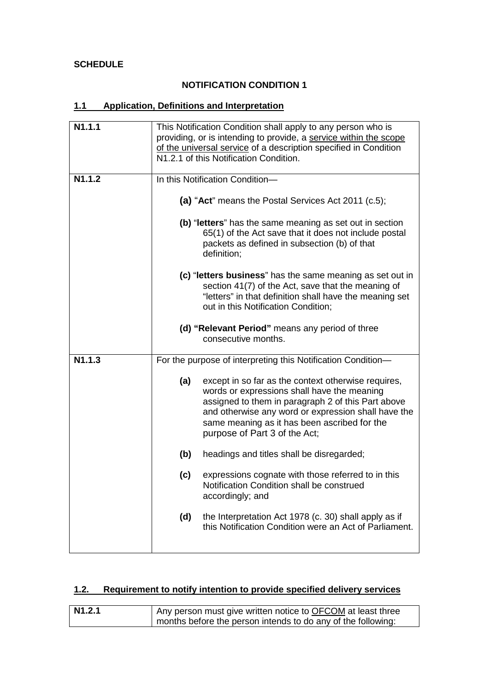# **SCHEDULE**

### **NOTIFICATION CONDITION 1**

# **1.1 Application, Definitions and Interpretation**

| N1.1.1 | This Notification Condition shall apply to any person who is<br>providing, or is intending to provide, a service within the scope<br>of the universal service of a description specified in Condition<br>N1.2.1 of this Notification Condition. |                                                                                                                                                                                                                                                                                                  |  |
|--------|-------------------------------------------------------------------------------------------------------------------------------------------------------------------------------------------------------------------------------------------------|--------------------------------------------------------------------------------------------------------------------------------------------------------------------------------------------------------------------------------------------------------------------------------------------------|--|
| N1.1.2 | In this Notification Condition-<br>(a) "Act" means the Postal Services Act 2011 (c.5);                                                                                                                                                          |                                                                                                                                                                                                                                                                                                  |  |
|        |                                                                                                                                                                                                                                                 |                                                                                                                                                                                                                                                                                                  |  |
|        |                                                                                                                                                                                                                                                 | (b) "letters" has the same meaning as set out in section<br>65(1) of the Act save that it does not include postal<br>packets as defined in subsection (b) of that<br>definition;                                                                                                                 |  |
|        |                                                                                                                                                                                                                                                 | (c) "letters business" has the same meaning as set out in<br>section 41(7) of the Act, save that the meaning of<br>"letters" in that definition shall have the meaning set<br>out in this Notification Condition;                                                                                |  |
|        |                                                                                                                                                                                                                                                 | (d) "Relevant Period" means any period of three<br>consecutive months.                                                                                                                                                                                                                           |  |
| N1.1.3 | For the purpose of interpreting this Notification Condition-                                                                                                                                                                                    |                                                                                                                                                                                                                                                                                                  |  |
|        | (a)                                                                                                                                                                                                                                             | except in so far as the context otherwise requires,<br>words or expressions shall have the meaning<br>assigned to them in paragraph 2 of this Part above<br>and otherwise any word or expression shall have the<br>same meaning as it has been ascribed for the<br>purpose of Part 3 of the Act; |  |
|        | (b)                                                                                                                                                                                                                                             | headings and titles shall be disregarded;                                                                                                                                                                                                                                                        |  |
|        | (c)                                                                                                                                                                                                                                             | expressions cognate with those referred to in this<br>Notification Condition shall be construed<br>accordingly; and                                                                                                                                                                              |  |
|        | (d)                                                                                                                                                                                                                                             | the Interpretation Act 1978 (c. 30) shall apply as if<br>this Notification Condition were an Act of Parliament.                                                                                                                                                                                  |  |

# **1.2. Requirement to notify intention to provide specified delivery services**

| N <sub>1</sub> .2.1 | Any person must give written notice to OFCOM at least three  |  |  |
|---------------------|--------------------------------------------------------------|--|--|
|                     | months before the person intends to do any of the following: |  |  |